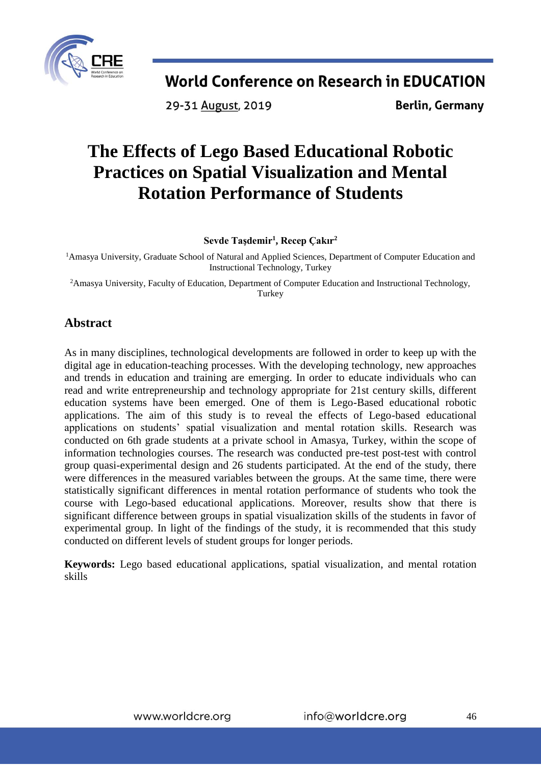

29-31 August, 2019

**Berlin, Germany** 

# **The Effects of Lego Based Educational Robotic Practices on Spatial Visualization and Mental Rotation Performance of Students**

**Sevde Taşdemir<sup>1</sup> , Recep Çakır<sup>2</sup>**

<sup>1</sup>Amasya University, Graduate School of Natural and Applied Sciences, Department of Computer Education and Instructional Technology, Turkey

<sup>2</sup>Amasya University, Faculty of Education, Department of Computer Education and Instructional Technology, Turkey

### **Abstract**

As in many disciplines, technological developments are followed in order to keep up with the digital age in education-teaching processes. With the developing technology, new approaches and trends in education and training are emerging. In order to educate individuals who can read and write entrepreneurship and technology appropriate for 21st century skills, different education systems have been emerged. One of them is Lego-Based educational robotic applications. The aim of this study is to reveal the effects of Lego-based educational applications on students' spatial visualization and mental rotation skills. Research was conducted on 6th grade students at a private school in Amasya, Turkey, within the scope of information technologies courses. The research was conducted pre-test post-test with control group quasi-experimental design and 26 students participated. At the end of the study, there were differences in the measured variables between the groups. At the same time, there were statistically significant differences in mental rotation performance of students who took the course with Lego-based educational applications. Moreover, results show that there is significant difference between groups in spatial visualization skills of the students in favor of experimental group. In light of the findings of the study, it is recommended that this study conducted on different levels of student groups for longer periods.

**Keywords:** Lego based educational applications, spatial visualization, and mental rotation skills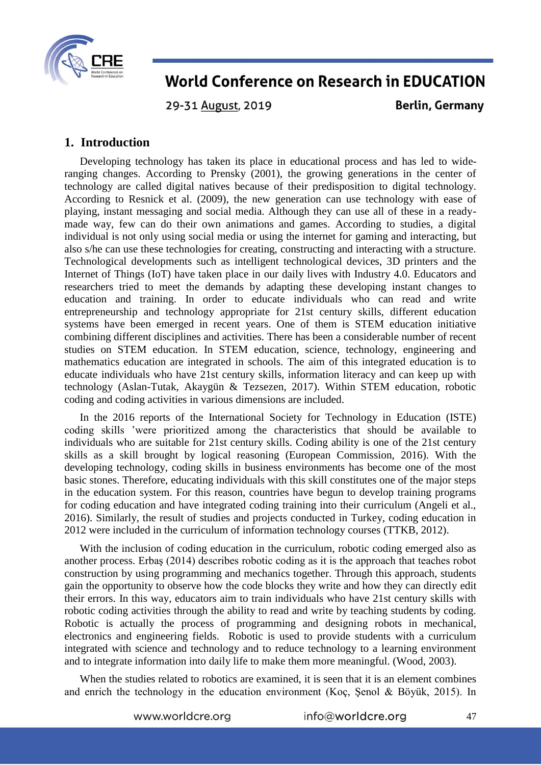

29-31 August, 2019

**Berlin, Germany** 

### **1. Introduction**

Developing technology has taken its place in educational process and has led to wideranging changes. According to Prensky (2001), the growing generations in the center of technology are called digital natives because of their predisposition to digital technology. According to Resnick et al. (2009), the new generation can use technology with ease of playing, instant messaging and social media. Although they can use all of these in a readymade way, few can do their own animations and games. According to studies, a digital individual is not only using social media or using the internet for gaming and interacting, but also s/he can use these technologies for creating, constructing and interacting with a structure. Technological developments such as intelligent technological devices, 3D printers and the Internet of Things (IoT) have taken place in our daily lives with Industry 4.0. Educators and researchers tried to meet the demands by adapting these developing instant changes to education and training. In order to educate individuals who can read and write entrepreneurship and technology appropriate for 21st century skills, different education systems have been emerged in recent years. One of them is STEM education initiative combining different disciplines and activities. There has been a considerable number of recent studies on STEM education. In STEM education, science, technology, engineering and mathematics education are integrated in schools. The aim of this integrated education is to educate individuals who have 21st century skills, information literacy and can keep up with technology (Aslan-Tutak, Akaygün & Tezsezen, 2017). Within STEM education, robotic coding and coding activities in various dimensions are included.

In the 2016 reports of the International Society for Technology in Education (ISTE) coding skills 'were prioritized among the characteristics that should be available to individuals who are suitable for 21st century skills. Coding ability is one of the 21st century skills as a skill brought by logical reasoning (European Commission, 2016). With the developing technology, coding skills in business environments has become one of the most basic stones. Therefore, educating individuals with this skill constitutes one of the major steps in the education system. For this reason, countries have begun to develop training programs for coding education and have integrated coding training into their curriculum (Angeli et al., 2016). Similarly, the result of studies and projects conducted in Turkey, coding education in 2012 were included in the curriculum of information technology courses (TTKB, 2012).

With the inclusion of coding education in the curriculum, robotic coding emerged also as another process. Erbaş (2014) describes robotic coding as it is the approach that teaches robot construction by using programming and mechanics together. Through this approach, students gain the opportunity to observe how the code blocks they write and how they can directly edit their errors. In this way, educators aim to train individuals who have 21st century skills with robotic coding activities through the ability to read and write by teaching students by coding. Robotic is actually the process of programming and designing robots in mechanical, electronics and engineering fields. Robotic is used to provide students with a curriculum integrated with science and technology and to reduce technology to a learning environment and to integrate information into daily life to make them more meaningful. (Wood, 2003).

When the studies related to robotics are examined, it is seen that it is an element combines and enrich the technology in the education environment (Koç, Şenol & Böyük, 2015). In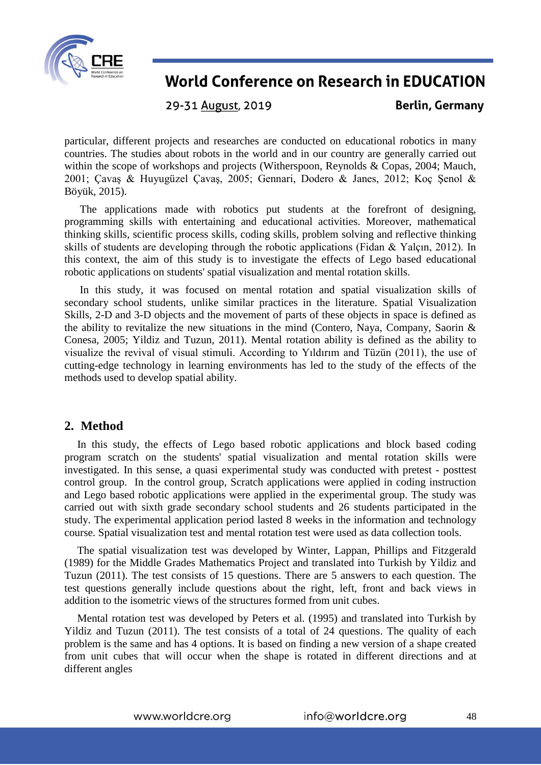

29-31 August, 2019

**Berlin, Germany** 

particular, different projects and researches are conducted on educational robotics in many countries. The studies about robots in the world and in our country are generally carried out within the scope of workshops and projects (Witherspoon, Reynolds & Copas, 2004; Mauch, 2001; Çavaş & Huyugüzel Çavaş, 2005; Gennari, Dodero & Janes, 2012; Koç Şenol & Böyük, 2015).

The applications made with robotics put students at the forefront of designing, programming skills with entertaining and educational activities. Moreover, mathematical thinking skills, scientific process skills, coding skills, problem solving and reflective thinking skills of students are developing through the robotic applications (Fidan & Yalçın, 2012). In this context, the aim of this study is to investigate the effects of Lego based educational robotic applications on students' spatial visualization and mental rotation skills.

In this study, it was focused on mental rotation and spatial visualization skills of secondary school students, unlike similar practices in the literature. Spatial Visualization Skills, 2-D and 3-D objects and the movement of parts of these objects in space is defined as the ability to revitalize the new situations in the mind (Contero, Naya, Company, Saorin & Conesa, 2005; Yildiz and Tuzun, 2011). Mental rotation ability is defined as the ability to visualize the revival of visual stimuli. According to Yıldırım and Tüzün (2011), the use of cutting-edge technology in learning environments has led to the study of the effects of the methods used to develop spatial ability.

#### **2. Method**

In this study, the effects of Lego based robotic applications and block based coding program scratch on the students' spatial visualization and mental rotation skills were investigated. In this sense, a quasi experimental study was conducted with pretest - posttest control group. In the control group, Scratch applications were applied in coding instruction and Lego based robotic applications were applied in the experimental group. The study was carried out with sixth grade secondary school students and 26 students participated in the study. The experimental application period lasted 8 weeks in the information and technology course. Spatial visualization test and mental rotation test were used as data collection tools.

The spatial visualization test was developed by Winter, Lappan, Phillips and Fitzgerald (1989) for the Middle Grades Mathematics Project and translated into Turkish by Yildiz and Tuzun (2011). The test consists of 15 questions. There are 5 answers to each question. The test questions generally include questions about the right, left, front and back views in addition to the isometric views of the structures formed from unit cubes.

Mental rotation test was developed by Peters et al. (1995) and translated into Turkish by Yildiz and Tuzun (2011). The test consists of a total of 24 questions. The quality of each problem is the same and has 4 options. It is based on finding a new version of a shape created from unit cubes that will occur when the shape is rotated in different directions and at different angles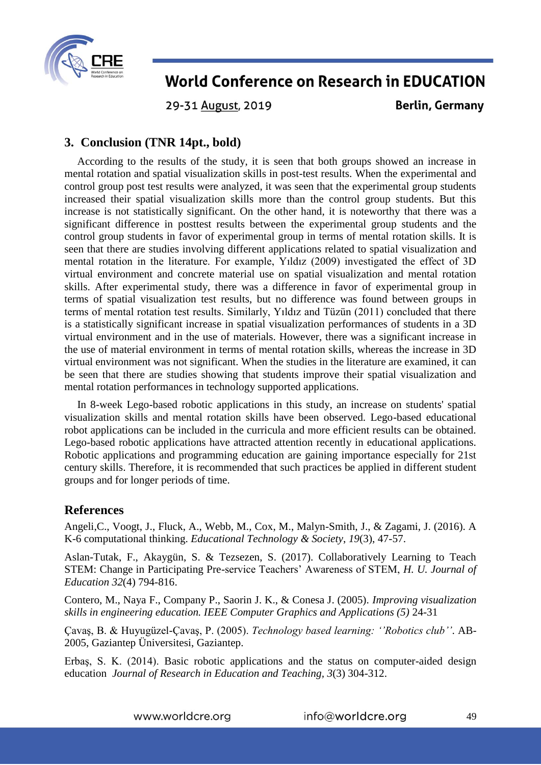

29-31 August, 2019

**Berlin, Germany** 

### **3. Conclusion (TNR 14pt., bold)**

According to the results of the study, it is seen that both groups showed an increase in mental rotation and spatial visualization skills in post-test results. When the experimental and control group post test results were analyzed, it was seen that the experimental group students increased their spatial visualization skills more than the control group students. But this increase is not statistically significant. On the other hand, it is noteworthy that there was a significant difference in posttest results between the experimental group students and the control group students in favor of experimental group in terms of mental rotation skills. It is seen that there are studies involving different applications related to spatial visualization and mental rotation in the literature. For example, Yıldız (2009) investigated the effect of 3D virtual environment and concrete material use on spatial visualization and mental rotation skills. After experimental study, there was a difference in favor of experimental group in terms of spatial visualization test results, but no difference was found between groups in terms of mental rotation test results. Similarly, Yıldız and Tüzün (2011) concluded that there is a statistically significant increase in spatial visualization performances of students in a 3D virtual environment and in the use of materials. However, there was a significant increase in the use of material environment in terms of mental rotation skills, whereas the increase in 3D virtual environment was not significant. When the studies in the literature are examined, it can be seen that there are studies showing that students improve their spatial visualization and mental rotation performances in technology supported applications.

In 8-week Lego-based robotic applications in this study, an increase on students' spatial visualization skills and mental rotation skills have been observed. Lego-based educational robot applications can be included in the curricula and more efficient results can be obtained. Lego-based robotic applications have attracted attention recently in educational applications. Robotic applications and programming education are gaining importance especially for 21st century skills. Therefore, it is recommended that such practices be applied in different student groups and for longer periods of time.

#### **References**

Angeli,C., Voogt, J., Fluck, A., Webb, M., Cox, M., Malyn-Smith, J., & Zagami, J. (2016). A K-6 computational thinking. *Educational Technology & Society*, *19*(3), 47-57.

Aslan-Tutak, F., Akaygün, S. & Tezsezen, S. (2017). Collaboratively Learning to Teach STEM: Change in Participating Pre-service Teachers' Awareness of STEM, *H. U. Journal of Education 32*(4) 794-816.

Contero, M., Naya F., Company P., Saorin J. K., & Conesa J. (2005). *Improving visualization skills in engineering education. IEEE Computer Graphics and Applications (5)* 24-31

Çavaş, B. & Huyugüzel-Çavaş, P. (2005). *Technology based learning: ''Robotics club''*. AB-2005, Gaziantep Üniversitesi, Gaziantep.

Erbaş, S. K. (2014). Basic robotic applications and the status on computer-aided design education *Journal of Research in Education and Teaching, 3*(3) 304-312.